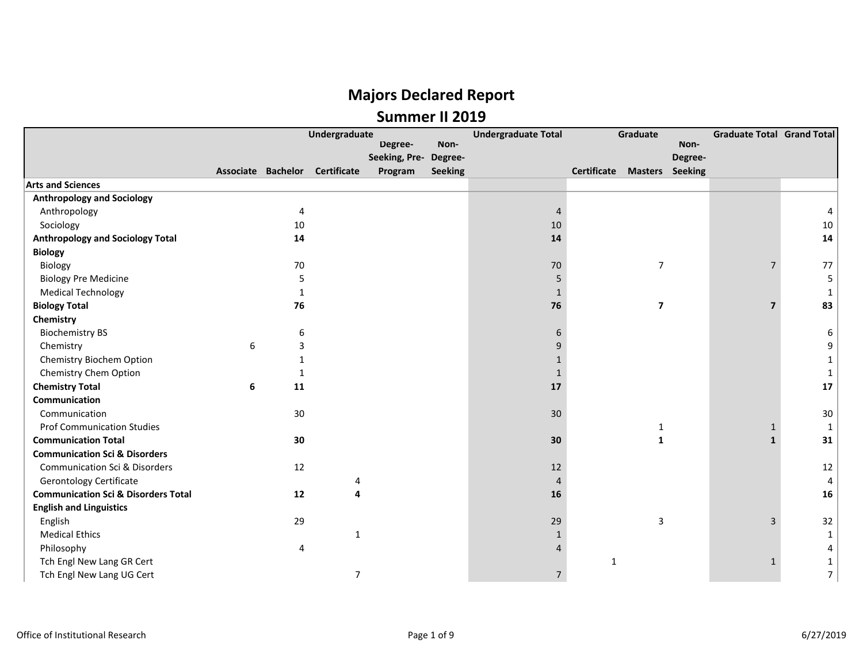|                                                |   |    | Undergraduate                  |               |                | <b>Undergraduate Total</b> | Graduate                           |                |         | <b>Graduate Total Grand Total</b> |              |
|------------------------------------------------|---|----|--------------------------------|---------------|----------------|----------------------------|------------------------------------|----------------|---------|-----------------------------------|--------------|
|                                                |   |    |                                | Degree-       | Non-           |                            |                                    |                | Non-    |                                   |              |
|                                                |   |    |                                | Seeking, Pre- | Degree-        |                            |                                    |                | Degree- |                                   |              |
|                                                |   |    | Associate Bachelor Certificate | Program       | <b>Seeking</b> |                            | <b>Certificate Masters Seeking</b> |                |         |                                   |              |
| <b>Arts and Sciences</b>                       |   |    |                                |               |                |                            |                                    |                |         |                                   |              |
| <b>Anthropology and Sociology</b>              |   |    |                                |               |                |                            |                                    |                |         |                                   |              |
| Anthropology                                   |   | 4  |                                |               |                | $\Delta$                   |                                    |                |         |                                   |              |
| Sociology                                      |   | 10 |                                |               |                | 10                         |                                    |                |         |                                   | $10\,$       |
| <b>Anthropology and Sociology Total</b>        |   | 14 |                                |               |                | 14                         |                                    |                |         |                                   | 14           |
| <b>Biology</b>                                 |   |    |                                |               |                |                            |                                    |                |         |                                   |              |
| Biology                                        |   | 70 |                                |               |                | 70                         |                                    | $\overline{7}$ |         | $\overline{7}$                    | 77           |
| <b>Biology Pre Medicine</b>                    |   | 5  |                                |               |                |                            |                                    |                |         |                                   | 5            |
| <b>Medical Technology</b>                      |   | 1  |                                |               |                | 1                          |                                    |                |         |                                   | 1            |
| <b>Biology Total</b>                           |   | 76 |                                |               |                | 76                         |                                    | $\overline{7}$ |         | $\overline{\mathbf{z}}$           | 83           |
| Chemistry                                      |   |    |                                |               |                |                            |                                    |                |         |                                   |              |
| <b>Biochemistry BS</b>                         |   | 6  |                                |               |                |                            |                                    |                |         |                                   | 6            |
| Chemistry                                      | 6 | 3  |                                |               |                |                            |                                    |                |         |                                   | 9            |
| Chemistry Biochem Option                       |   | 1  |                                |               |                |                            |                                    |                |         |                                   | 1            |
| Chemistry Chem Option                          |   | 1  |                                |               |                | 1                          |                                    |                |         |                                   | 1            |
| <b>Chemistry Total</b>                         | 6 | 11 |                                |               |                | 17                         |                                    |                |         |                                   | 17           |
| Communication                                  |   |    |                                |               |                |                            |                                    |                |         |                                   |              |
| Communication                                  |   | 30 |                                |               |                | 30                         |                                    |                |         |                                   | 30           |
| <b>Prof Communication Studies</b>              |   |    |                                |               |                |                            |                                    | 1              |         | 1                                 | $\mathbf{1}$ |
| <b>Communication Total</b>                     |   | 30 |                                |               |                | 30                         |                                    | 1              |         | $\mathbf{1}$                      | 31           |
| <b>Communication Sci &amp; Disorders</b>       |   |    |                                |               |                |                            |                                    |                |         |                                   |              |
| <b>Communication Sci &amp; Disorders</b>       |   | 12 |                                |               |                | 12                         |                                    |                |         |                                   | 12           |
| <b>Gerontology Certificate</b>                 |   |    | 4                              |               |                | $\Delta$                   |                                    |                |         |                                   | 4            |
| <b>Communication Sci &amp; Disorders Total</b> |   | 12 |                                |               |                | 16                         |                                    |                |         |                                   | 16           |
| <b>English and Linguistics</b>                 |   |    |                                |               |                |                            |                                    |                |         |                                   |              |
| English                                        |   | 29 |                                |               |                | 29                         |                                    | $\overline{3}$ |         | 3                                 | 32           |
| <b>Medical Ethics</b>                          |   |    | $\mathbf{1}$                   |               |                |                            |                                    |                |         |                                   | $\mathbf{1}$ |
| Philosophy                                     |   | 4  |                                |               |                |                            |                                    |                |         |                                   |              |
| Tch Engl New Lang GR Cert                      |   |    |                                |               |                |                            | 1                                  |                |         | 1                                 |              |
| Tch Engl New Lang UG Cert                      |   |    | 7                              |               |                | $\overline{7}$             |                                    |                |         |                                   | 7            |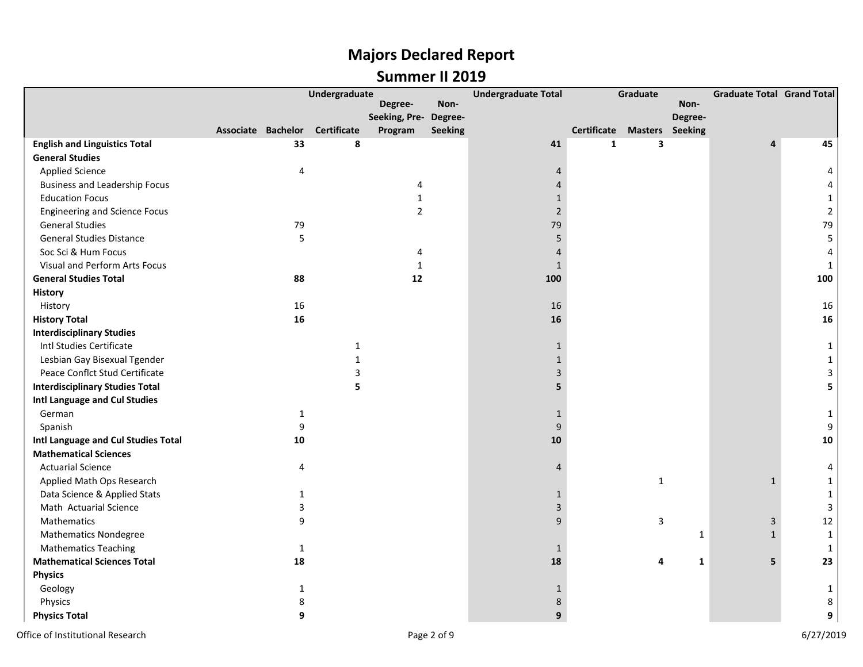|                                        | Undergraduate             |              |                    | <b>Undergraduate Total</b> | Graduate       |                |              | <b>Graduate Total Grand Total</b> |              |              |                |
|----------------------------------------|---------------------------|--------------|--------------------|----------------------------|----------------|----------------|--------------|-----------------------------------|--------------|--------------|----------------|
|                                        |                           |              |                    | Degree-                    | Non-           |                |              |                                   | Non-         |              |                |
|                                        |                           |              |                    | Seeking, Pre- Degree-      |                |                |              |                                   | Degree-      |              |                |
|                                        | <b>Associate Bachelor</b> |              | <b>Certificate</b> | Program                    | <b>Seeking</b> |                | Certificate  | <b>Masters</b> Seeking            |              |              |                |
| <b>English and Linguistics Total</b>   |                           | 33           | 8                  |                            |                | 41             | $\mathbf{1}$ | 3                                 |              |              | 45             |
| <b>General Studies</b>                 |                           |              |                    |                            |                |                |              |                                   |              |              |                |
| <b>Applied Science</b>                 |                           | 4            |                    |                            |                | 4              |              |                                   |              |              | 4              |
| <b>Business and Leadership Focus</b>   |                           |              |                    | 4                          |                | $\overline{4}$ |              |                                   |              |              | 4              |
| <b>Education Focus</b>                 |                           |              |                    | $\mathbf{1}$               |                | $\mathbf{1}$   |              |                                   |              |              | $\mathbf{1}$   |
| <b>Engineering and Science Focus</b>   |                           |              |                    | $\overline{2}$             |                | $\overline{2}$ |              |                                   |              |              | $\overline{2}$ |
| <b>General Studies</b>                 |                           | 79           |                    |                            |                | 79             |              |                                   |              |              | 79             |
| <b>General Studies Distance</b>        |                           | 5            |                    |                            |                | 5              |              |                                   |              |              | 5              |
| Soc Sci & Hum Focus                    |                           |              |                    | 4                          |                | $\overline{4}$ |              |                                   |              |              | 4              |
| Visual and Perform Arts Focus          |                           |              |                    | $\mathbf{1}$               |                | $\mathbf{1}$   |              |                                   |              |              | $\mathbf{1}$   |
| <b>General Studies Total</b>           |                           | 88           |                    | 12                         |                | 100            |              |                                   |              |              | 100            |
| <b>History</b>                         |                           |              |                    |                            |                |                |              |                                   |              |              |                |
| History                                |                           | 16           |                    |                            |                | 16             |              |                                   |              |              | 16             |
| <b>History Total</b>                   |                           | 16           |                    |                            |                | 16             |              |                                   |              |              | 16             |
| <b>Interdisciplinary Studies</b>       |                           |              |                    |                            |                |                |              |                                   |              |              |                |
| Intl Studies Certificate               |                           |              | 1                  |                            |                | $\mathbf{1}$   |              |                                   |              |              | 1              |
| Lesbian Gay Bisexual Tgender           |                           |              | 1                  |                            |                | $\mathbf{1}$   |              |                                   |              |              | $\mathbf{1}$   |
| Peace Conflct Stud Certificate         |                           |              | 3                  |                            |                | 3              |              |                                   |              |              | 3              |
| <b>Interdisciplinary Studies Total</b> |                           |              | 5                  |                            |                | 5              |              |                                   |              |              | 5              |
| Intl Language and Cul Studies          |                           |              |                    |                            |                |                |              |                                   |              |              |                |
| German                                 |                           | $\mathbf{1}$ |                    |                            |                | $\mathbf{1}$   |              |                                   |              |              | $\mathbf{1}$   |
| Spanish                                |                           | 9            |                    |                            |                | 9              |              |                                   |              |              | 9              |
| Intl Language and Cul Studies Total    |                           | 10           |                    |                            |                | 10             |              |                                   |              |              | 10             |
| <b>Mathematical Sciences</b>           |                           |              |                    |                            |                |                |              |                                   |              |              |                |
| <b>Actuarial Science</b>               |                           | 4            |                    |                            |                | 4              |              |                                   |              |              | 4              |
| Applied Math Ops Research              |                           |              |                    |                            |                |                |              | $\mathbf{1}$                      |              | $\mathbf{1}$ | $\mathbf{1}$   |
| Data Science & Applied Stats           |                           | $\mathbf{1}$ |                    |                            |                | 1              |              |                                   |              |              | $\mathbf{1}$   |
| Math Actuarial Science                 |                           | 3            |                    |                            |                | 3              |              |                                   |              |              | 3              |
| Mathematics                            |                           | 9            |                    |                            |                | 9              |              | 3                                 |              | 3            | 12             |
| <b>Mathematics Nondegree</b>           |                           |              |                    |                            |                |                |              |                                   | $\mathbf{1}$ | $\mathbf{1}$ | $\mathbf{1}$   |
| <b>Mathematics Teaching</b>            |                           | $\mathbf{1}$ |                    |                            |                | $\mathbf{1}$   |              |                                   |              |              | $\mathbf{1}$   |
| <b>Mathematical Sciences Total</b>     |                           | 18           |                    |                            |                | 18             |              | 4                                 | $\mathbf{1}$ | 5            | 23             |
| <b>Physics</b>                         |                           |              |                    |                            |                |                |              |                                   |              |              |                |
| Geology                                |                           | 1            |                    |                            |                | 1              |              |                                   |              |              | 1              |
| Physics                                |                           | 8            |                    |                            |                | 8              |              |                                   |              |              | 8              |
| <b>Physics Total</b>                   |                           | 9            |                    |                            |                | 9              |              |                                   |              |              | 9              |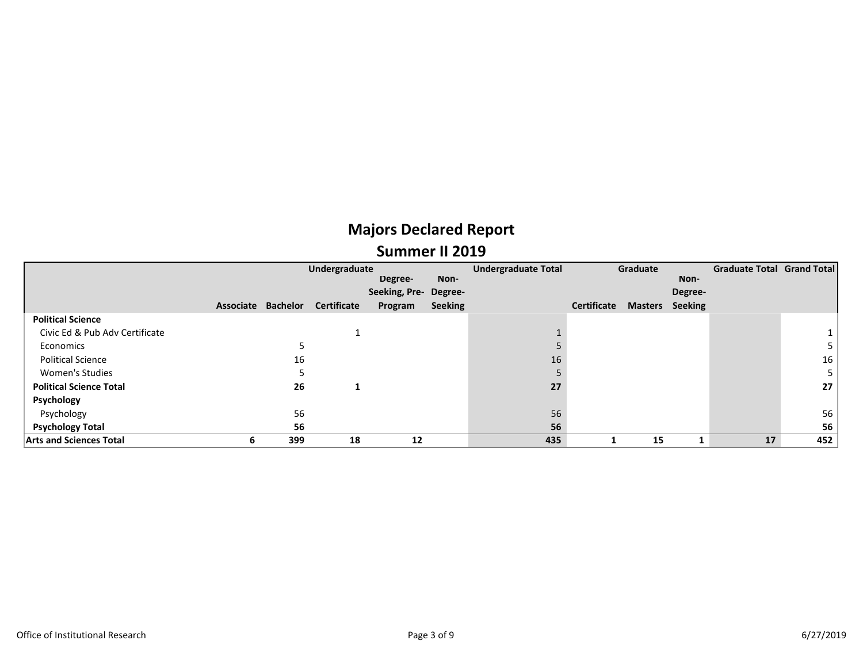|                                |           | Undergraduate   |                    |                       |                | <b>Undergraduate Total</b> | Graduate           |                |         | <b>Graduate Total Grand Total</b> |     |
|--------------------------------|-----------|-----------------|--------------------|-----------------------|----------------|----------------------------|--------------------|----------------|---------|-----------------------------------|-----|
|                                |           |                 |                    | Degree-               | Non-           |                            |                    |                | Non-    |                                   |     |
|                                |           |                 |                    | Seeking, Pre- Degree- |                |                            |                    |                | Degree- |                                   |     |
|                                | Associate | <b>Bachelor</b> | <b>Certificate</b> | Program               | <b>Seeking</b> |                            | <b>Certificate</b> | <b>Masters</b> | Seeking |                                   |     |
| <b>Political Science</b>       |           |                 |                    |                       |                |                            |                    |                |         |                                   |     |
| Civic Ed & Pub Adv Certificate |           |                 |                    |                       |                |                            |                    |                |         |                                   |     |
| Economics                      |           |                 |                    |                       |                |                            |                    |                |         |                                   |     |
| <b>Political Science</b>       |           | 16              |                    |                       |                | 16                         |                    |                |         |                                   | 16  |
| <b>Women's Studies</b>         |           |                 |                    |                       |                |                            |                    |                |         |                                   | 5   |
| <b>Political Science Total</b> |           | 26              | л                  |                       |                | 27                         |                    |                |         |                                   | 27  |
| Psychology                     |           |                 |                    |                       |                |                            |                    |                |         |                                   |     |
| Psychology                     |           | 56              |                    |                       |                | 56                         |                    |                |         |                                   | 56  |
| <b>Psychology Total</b>        |           | 56              |                    |                       |                | 56                         |                    |                |         |                                   | 56  |
| <b>Arts and Sciences Total</b> | ь         | 399             | 18                 | 12                    |                | 435                        |                    | 15             |         | 17                                | 452 |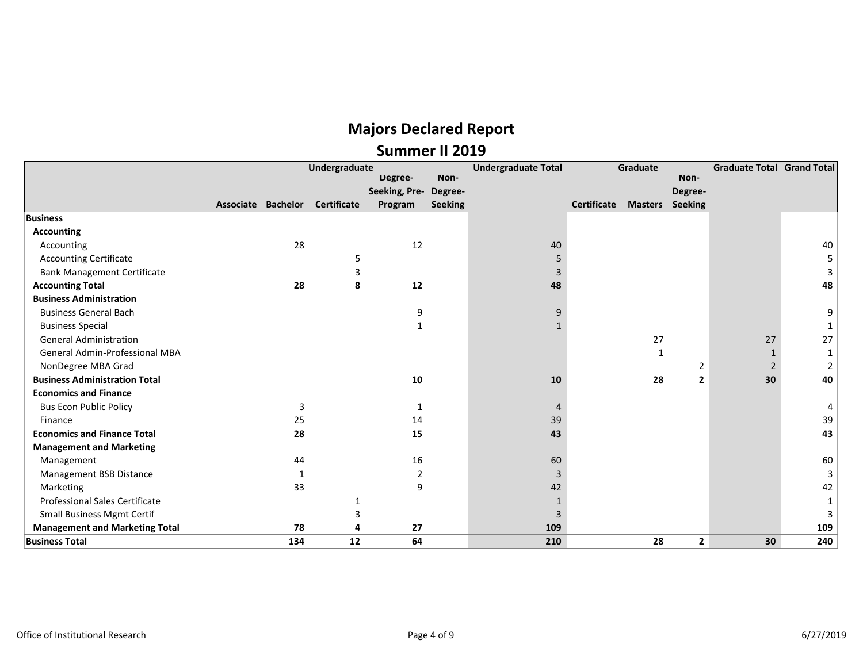|                                       | Undergraduate<br>Degree- |     |                                | Non-          | <b>Undergraduate Total</b> | Graduate | Non-        | <b>Graduate Total Grand Total</b> |                |    |                |
|---------------------------------------|--------------------------|-----|--------------------------------|---------------|----------------------------|----------|-------------|-----------------------------------|----------------|----|----------------|
|                                       |                          |     |                                | Seeking, Pre- | Degree-                    |          |             |                                   | Degree-        |    |                |
|                                       |                          |     | Associate Bachelor Certificate | Program       | Seeking                    |          | Certificate | <b>Masters</b> Seeking            |                |    |                |
| <b>Business</b>                       |                          |     |                                |               |                            |          |             |                                   |                |    |                |
| <b>Accounting</b>                     |                          |     |                                |               |                            |          |             |                                   |                |    |                |
| Accounting                            |                          | 28  |                                | 12            |                            | 40       |             |                                   |                |    | 40             |
| <b>Accounting Certificate</b>         |                          |     | 5                              |               |                            |          |             |                                   |                |    | 5              |
| <b>Bank Management Certificate</b>    |                          |     | 3                              |               |                            | 3        |             |                                   |                |    | 3              |
| <b>Accounting Total</b>               |                          | 28  | 8                              | 12            |                            | 48       |             |                                   |                |    | 48             |
| <b>Business Administration</b>        |                          |     |                                |               |                            |          |             |                                   |                |    |                |
| <b>Business General Bach</b>          |                          |     |                                | 9             |                            | q        |             |                                   |                |    | 9              |
| <b>Business Special</b>               |                          |     |                                |               |                            |          |             |                                   |                |    |                |
| <b>General Administration</b>         |                          |     |                                |               |                            |          |             | 27                                |                | 27 | 27             |
| <b>General Admin-Professional MBA</b> |                          |     |                                |               |                            |          |             | 1                                 |                |    |                |
| NonDegree MBA Grad                    |                          |     |                                |               |                            |          |             |                                   | $\overline{2}$ | 2  | $\overline{2}$ |
| <b>Business Administration Total</b>  |                          |     |                                | 10            |                            | 10       |             | 28                                | $\overline{2}$ | 30 | 40             |
| <b>Economics and Finance</b>          |                          |     |                                |               |                            |          |             |                                   |                |    |                |
| <b>Bus Econ Public Policy</b>         |                          | 3   |                                |               |                            |          |             |                                   |                |    | 4              |
| Finance                               |                          | 25  |                                | 14            |                            | 39       |             |                                   |                |    | 39             |
| <b>Economics and Finance Total</b>    |                          | 28  |                                | 15            |                            | 43       |             |                                   |                |    | 43             |
| <b>Management and Marketing</b>       |                          |     |                                |               |                            |          |             |                                   |                |    |                |
| Management                            |                          | 44  |                                | 16            |                            | 60       |             |                                   |                |    | 60             |
| Management BSB Distance               |                          |     |                                | 2             |                            | 3        |             |                                   |                |    | 3              |
| Marketing                             |                          | 33  |                                | 9             |                            | 42       |             |                                   |                |    | 42             |
| <b>Professional Sales Certificate</b> |                          |     |                                |               |                            |          |             |                                   |                |    | 1              |
| <b>Small Business Mgmt Certif</b>     |                          |     | З                              |               |                            | 3        |             |                                   |                |    | 3              |
| <b>Management and Marketing Total</b> |                          | 78  | л                              | 27            |                            | 109      |             |                                   |                |    | 109            |
| <b>Business Total</b>                 |                          | 134 | 12                             | 64            |                            | 210      |             | 28                                | $\overline{2}$ | 30 | 240            |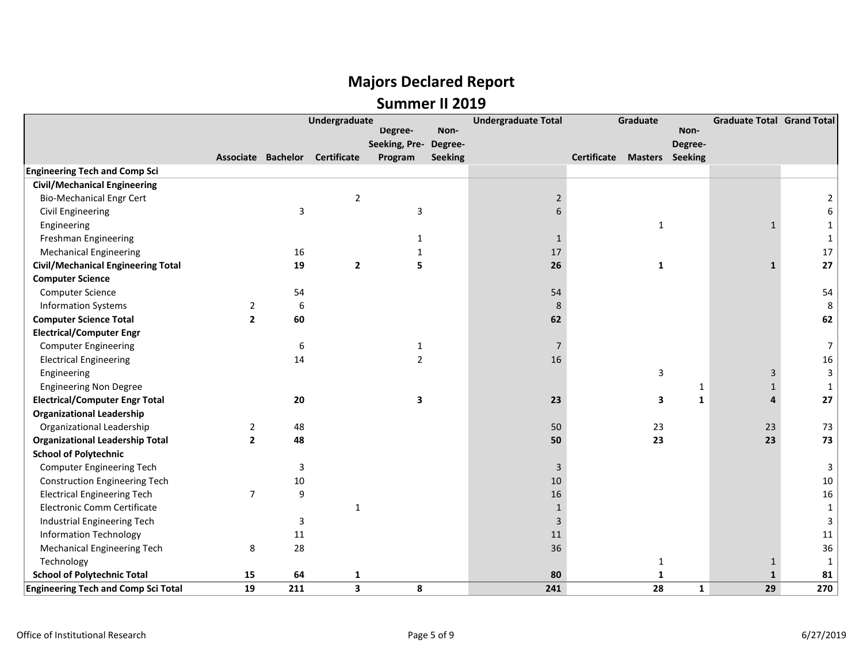|                                            | Undergraduate  |     |                                |                         |                | <b>Undergraduate Total</b> | Graduate                           |              |              | <b>Graduate Total Grand Total</b> |                |
|--------------------------------------------|----------------|-----|--------------------------------|-------------------------|----------------|----------------------------|------------------------------------|--------------|--------------|-----------------------------------|----------------|
|                                            |                |     |                                | Degree-                 | Non-           |                            |                                    |              | Non-         |                                   |                |
|                                            |                |     |                                | Seeking, Pre-           | Degree-        |                            |                                    |              | Degree-      |                                   |                |
|                                            |                |     | Associate Bachelor Certificate | Program                 | <b>Seeking</b> |                            | <b>Certificate Masters Seeking</b> |              |              |                                   |                |
| <b>Engineering Tech and Comp Sci</b>       |                |     |                                |                         |                |                            |                                    |              |              |                                   |                |
| <b>Civil/Mechanical Engineering</b>        |                |     |                                |                         |                |                            |                                    |              |              |                                   |                |
| <b>Bio-Mechanical Engr Cert</b>            |                |     | $\overline{2}$                 |                         |                | 2                          |                                    |              |              |                                   |                |
| <b>Civil Engineering</b>                   |                | 3   |                                | 3                       |                |                            |                                    |              |              |                                   | 6              |
| Engineering                                |                |     |                                |                         |                |                            |                                    | $\mathbf{1}$ |              | $\mathbf{1}$                      |                |
| Freshman Engineering                       |                |     |                                |                         |                | -1                         |                                    |              |              |                                   | 1              |
| <b>Mechanical Engineering</b>              |                | 16  |                                |                         |                | 17                         |                                    |              |              |                                   | 17             |
| <b>Civil/Mechanical Engineering Total</b>  |                | 19  | $\overline{2}$                 | 5                       |                | 26                         |                                    | 1            |              | $\mathbf{1}$                      | 27             |
| <b>Computer Science</b>                    |                |     |                                |                         |                |                            |                                    |              |              |                                   |                |
| <b>Computer Science</b>                    |                | 54  |                                |                         |                | 54                         |                                    |              |              |                                   | 54             |
| <b>Information Systems</b>                 | 2              | 6   |                                |                         |                | 8                          |                                    |              |              |                                   | 8              |
| <b>Computer Science Total</b>              | $\overline{2}$ | 60  |                                |                         |                | 62                         |                                    |              |              |                                   | 62             |
| <b>Electrical/Computer Engr</b>            |                |     |                                |                         |                |                            |                                    |              |              |                                   |                |
| <b>Computer Engineering</b>                |                | 6   |                                | $\mathbf{1}$            |                | 7                          |                                    |              |              |                                   | $\overline{7}$ |
| <b>Electrical Engineering</b>              |                | 14  |                                | $\overline{2}$          |                | 16                         |                                    |              |              |                                   | 16             |
| Engineering                                |                |     |                                |                         |                |                            |                                    | 3            |              | 3                                 | 3              |
| <b>Engineering Non Degree</b>              |                |     |                                |                         |                |                            |                                    |              | 1            | $\mathbf{1}$                      | $\mathbf{1}$   |
| <b>Electrical/Computer Engr Total</b>      |                | 20  |                                | $\overline{\mathbf{3}}$ |                | 23                         |                                    | 3            | $\mathbf{1}$ | 4                                 | 27             |
| <b>Organizational Leadership</b>           |                |     |                                |                         |                |                            |                                    |              |              |                                   |                |
| Organizational Leadership                  | 2              | 48  |                                |                         |                | 50                         |                                    | 23           |              | 23                                | 73             |
| <b>Organizational Leadership Total</b>     | $\overline{2}$ | 48  |                                |                         |                | 50                         |                                    | 23           |              | 23                                | 73             |
| <b>School of Polytechnic</b>               |                |     |                                |                         |                |                            |                                    |              |              |                                   |                |
| <b>Computer Engineering Tech</b>           |                | 3   |                                |                         |                | 3                          |                                    |              |              |                                   | 3              |
| <b>Construction Engineering Tech</b>       |                | 10  |                                |                         |                | 10                         |                                    |              |              |                                   | 10             |
| <b>Electrical Engineering Tech</b>         | $\overline{7}$ | 9   |                                |                         |                | 16                         |                                    |              |              |                                   | 16             |
| Electronic Comm Certificate                |                |     | $\mathbf{1}$                   |                         |                | $\mathbf{1}$               |                                    |              |              |                                   | $\mathbf{1}$   |
| Industrial Engineering Tech                |                | 3   |                                |                         |                | 3                          |                                    |              |              |                                   | 3              |
| <b>Information Technology</b>              |                | 11  |                                |                         |                | 11                         |                                    |              |              |                                   | 11             |
| <b>Mechanical Engineering Tech</b>         | 8              | 28  |                                |                         |                | 36                         |                                    |              |              |                                   | 36             |
| Technology                                 |                |     |                                |                         |                |                            |                                    | 1            |              | $\mathbf{1}$                      | 1              |
| <b>School of Polytechnic Total</b>         | 15             | 64  | 1                              |                         |                | 80                         |                                    | $\mathbf{1}$ |              | $\mathbf{1}$                      | 81             |
| <b>Engineering Tech and Comp Sci Total</b> | 19             | 211 | $\overline{\mathbf{3}}$        | 8                       |                | 241                        |                                    | 28           | $\mathbf{1}$ | 29                                | 270            |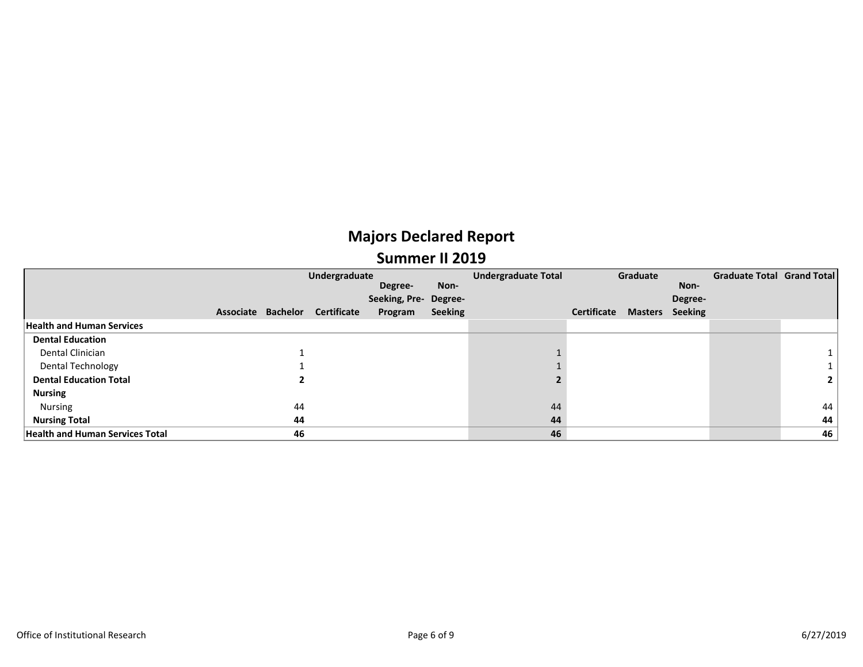|                                        | Undergraduate |                    |                    |                       |                | <b>Undergraduate Total</b> | Graduate    |                |                | Graduate Total Grand Total |                |
|----------------------------------------|---------------|--------------------|--------------------|-----------------------|----------------|----------------------------|-------------|----------------|----------------|----------------------------|----------------|
|                                        |               |                    |                    | Degree-               | Non-           |                            |             |                | Non-           |                            |                |
|                                        |               |                    |                    | Seeking, Pre- Degree- |                |                            |             |                | Degree-        |                            |                |
|                                        |               | Associate Bachelor | <b>Certificate</b> | Program               | <b>Seeking</b> |                            | Certificate | <b>Masters</b> | <b>Seeking</b> |                            |                |
| <b>Health and Human Services</b>       |               |                    |                    |                       |                |                            |             |                |                |                            |                |
| <b>Dental Education</b>                |               |                    |                    |                       |                |                            |             |                |                |                            |                |
| Dental Clinician                       |               |                    |                    |                       |                |                            |             |                |                |                            |                |
| <b>Dental Technology</b>               |               |                    |                    |                       |                |                            |             |                |                |                            |                |
| <b>Dental Education Total</b>          |               |                    |                    |                       |                |                            |             |                |                |                            | 2 <sup>1</sup> |
| <b>Nursing</b>                         |               |                    |                    |                       |                |                            |             |                |                |                            |                |
| Nursing                                |               | 44                 |                    |                       |                | 44                         |             |                |                |                            | 44             |
| <b>Nursing Total</b>                   |               | 44                 |                    |                       |                | 44                         |             |                |                |                            | 44             |
| <b>Health and Human Services Total</b> |               | 46                 |                    |                       |                | 46                         |             |                |                |                            | 46             |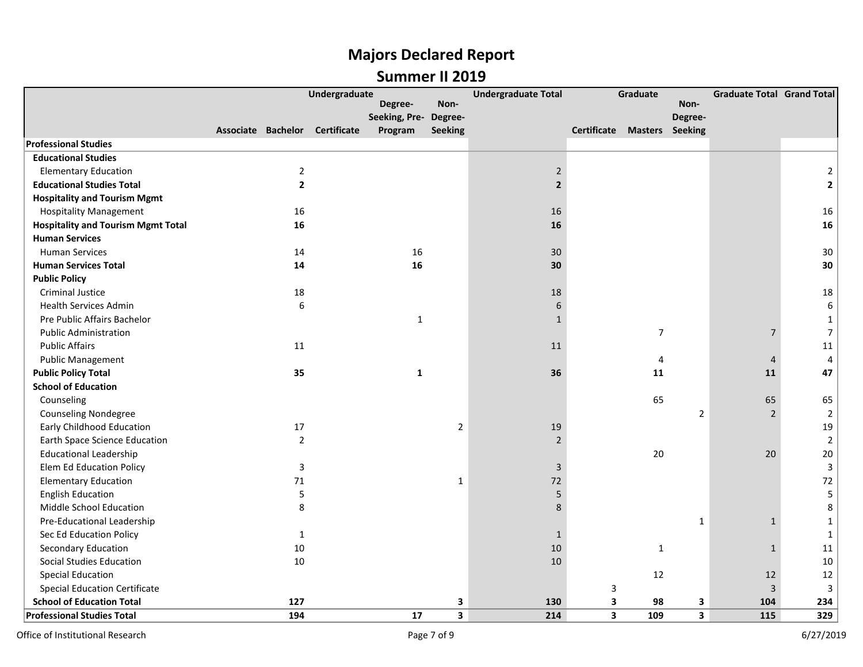|                                           |                    | Undergraduate      |                       |                         | <b>Undergraduate Total</b> |                                    | Graduate       |                | <b>Graduate Total Grand Total</b> |                         |
|-------------------------------------------|--------------------|--------------------|-----------------------|-------------------------|----------------------------|------------------------------------|----------------|----------------|-----------------------------------|-------------------------|
|                                           |                    |                    | Degree-               | Non-                    |                            |                                    |                | Non-           |                                   |                         |
|                                           |                    |                    | Seeking, Pre- Degree- |                         |                            |                                    |                | Degree-        |                                   |                         |
|                                           | Associate Bachelor | <b>Certificate</b> | Program               | <b>Seeking</b>          |                            | <b>Certificate Masters Seeking</b> |                |                |                                   |                         |
| <b>Professional Studies</b>               |                    |                    |                       |                         |                            |                                    |                |                |                                   |                         |
| <b>Educational Studies</b>                |                    |                    |                       |                         |                            |                                    |                |                |                                   |                         |
| <b>Elementary Education</b>               | $\overline{2}$     |                    |                       |                         | $\sqrt{2}$                 |                                    |                |                |                                   | $\overline{2}$          |
| <b>Educational Studies Total</b>          | $\mathbf{2}$       |                    |                       |                         | $\overline{2}$             |                                    |                |                |                                   | $\overline{\mathbf{c}}$ |
| <b>Hospitality and Tourism Mgmt</b>       |                    |                    |                       |                         |                            |                                    |                |                |                                   |                         |
| <b>Hospitality Management</b>             | 16                 |                    |                       |                         | 16                         |                                    |                |                |                                   | 16                      |
| <b>Hospitality and Tourism Mgmt Total</b> | 16                 |                    |                       |                         | 16                         |                                    |                |                |                                   | 16                      |
| <b>Human Services</b>                     |                    |                    |                       |                         |                            |                                    |                |                |                                   |                         |
| <b>Human Services</b>                     | 14                 |                    | 16                    |                         | 30                         |                                    |                |                |                                   | 30                      |
| <b>Human Services Total</b>               | 14                 |                    | 16                    |                         | 30                         |                                    |                |                |                                   | 30                      |
| <b>Public Policy</b>                      |                    |                    |                       |                         |                            |                                    |                |                |                                   |                         |
| <b>Criminal Justice</b>                   | 18                 |                    |                       |                         | 18                         |                                    |                |                |                                   | 18                      |
| <b>Health Services Admin</b>              | 6                  |                    |                       |                         | 6                          |                                    |                |                |                                   | $\boldsymbol{6}$        |
| Pre Public Affairs Bachelor               |                    |                    | $\mathbf{1}$          |                         | $\mathbf{1}$               |                                    |                |                |                                   | $\mathbf{1}$            |
| <b>Public Administration</b>              |                    |                    |                       |                         |                            |                                    | $\overline{7}$ |                | $\overline{7}$                    | $\overline{7}$          |
| <b>Public Affairs</b>                     | 11                 |                    |                       |                         | 11                         |                                    |                |                |                                   | 11                      |
| <b>Public Management</b>                  |                    |                    |                       |                         |                            |                                    | 4              |                | $\overline{4}$                    | $\overline{4}$          |
| <b>Public Policy Total</b>                | 35                 |                    | $\mathbf{1}$          |                         | 36                         |                                    | 11             |                | 11                                | 47                      |
| <b>School of Education</b>                |                    |                    |                       |                         |                            |                                    |                |                |                                   |                         |
| Counseling                                |                    |                    |                       |                         |                            |                                    | 65             |                | 65                                | 65                      |
| <b>Counseling Nondegree</b>               |                    |                    |                       |                         |                            |                                    |                | $\overline{2}$ | $\overline{2}$                    | $\overline{2}$          |
| <b>Early Childhood Education</b>          | 17                 |                    |                       | $\mathbf 2$             | 19                         |                                    |                |                |                                   | 19                      |
| <b>Earth Space Science Education</b>      | $\overline{2}$     |                    |                       |                         | $\overline{2}$             |                                    |                |                |                                   | $\overline{2}$          |
| <b>Educational Leadership</b>             |                    |                    |                       |                         |                            |                                    | 20             |                | 20                                | 20                      |
| Elem Ed Education Policy                  | 3                  |                    |                       |                         | 3                          |                                    |                |                |                                   | $\overline{3}$          |
| <b>Elementary Education</b>               | 71                 |                    |                       | $\mathbf{1}$            | 72                         |                                    |                |                |                                   | 72                      |
| <b>English Education</b>                  | 5                  |                    |                       |                         | 5                          |                                    |                |                |                                   | 5                       |
| Middle School Education                   | 8                  |                    |                       |                         | 8                          |                                    |                |                |                                   | 8                       |
| Pre-Educational Leadership                |                    |                    |                       |                         |                            |                                    |                | $\mathbf{1}$   | $\mathbf{1}$                      | $\mathbf{1}$            |
| Sec Ed Education Policy                   | $\mathbf{1}$       |                    |                       |                         | $\mathbf{1}$               |                                    |                |                |                                   | $\mathbf{1}$            |
| <b>Secondary Education</b>                | 10                 |                    |                       |                         | 10                         |                                    | 1              |                | $\mathbf{1}$                      | 11                      |
| Social Studies Education                  | 10                 |                    |                       |                         | 10                         |                                    |                |                |                                   | 10                      |
| <b>Special Education</b>                  |                    |                    |                       |                         |                            |                                    | 12             |                | 12                                | 12                      |
| <b>Special Education Certificate</b>      |                    |                    |                       |                         |                            | 3                                  |                |                | $\overline{3}$                    | 3                       |
| <b>School of Education Total</b>          | 127                |                    |                       | 3                       | 130                        | 3                                  | 98             | 3              | 104                               | 234                     |
| <b>Professional Studies Total</b>         | 194                |                    | 17                    | $\overline{\mathbf{3}}$ | 214                        | 3                                  | 109            | $\mathbf{3}$   | 115                               | 329                     |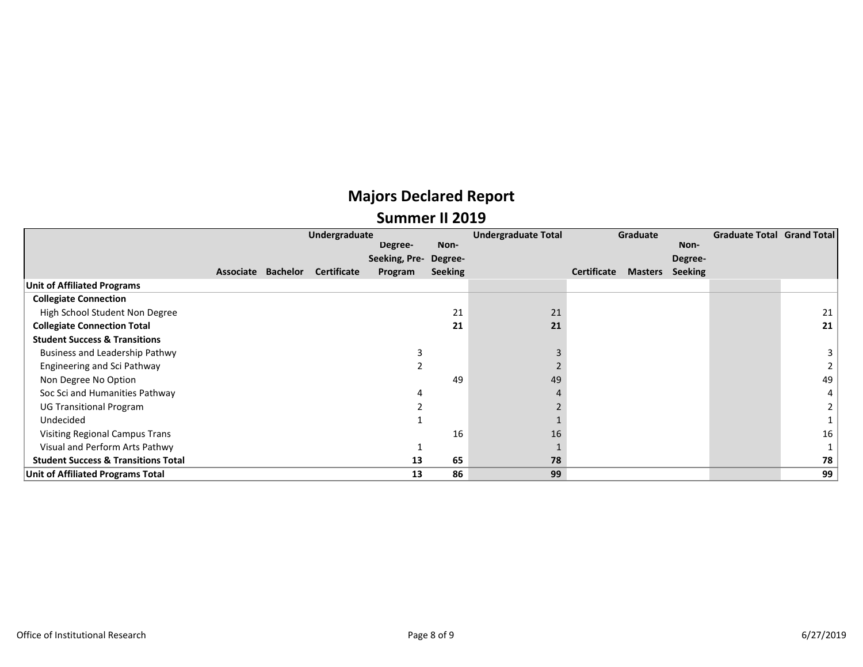|                                                | Undergraduate      |                    |               |                | <b>Undergraduate Total</b> | Graduate    |                |                | Graduate Total Grand Total |                |
|------------------------------------------------|--------------------|--------------------|---------------|----------------|----------------------------|-------------|----------------|----------------|----------------------------|----------------|
|                                                |                    |                    | Degree-       | Non-           |                            |             |                | Non-           |                            |                |
|                                                |                    |                    | Seeking, Pre- | Degree-        |                            |             |                | Degree-        |                            |                |
|                                                | Associate Bachelor | <b>Certificate</b> | Program       | <b>Seeking</b> |                            | Certificate | <b>Masters</b> | <b>Seeking</b> |                            |                |
| <b>Unit of Affiliated Programs</b>             |                    |                    |               |                |                            |             |                |                |                            |                |
| <b>Collegiate Connection</b>                   |                    |                    |               |                |                            |             |                |                |                            |                |
| High School Student Non Degree                 |                    |                    |               | 21             | 21                         |             |                |                |                            | 21             |
| <b>Collegiate Connection Total</b>             |                    |                    |               | 21             | 21                         |             |                |                |                            | 21             |
| <b>Student Success &amp; Transitions</b>       |                    |                    |               |                |                            |             |                |                |                            |                |
| Business and Leadership Pathwy                 |                    |                    |               |                |                            |             |                |                |                            | 3              |
| Engineering and Sci Pathway                    |                    |                    |               |                |                            |             |                |                |                            |                |
| Non Degree No Option                           |                    |                    |               | 49             | 49                         |             |                |                |                            | 49             |
| Soc Sci and Humanities Pathway                 |                    |                    |               |                |                            |             |                |                |                            | $4^{\circ}$    |
| <b>UG Transitional Program</b>                 |                    |                    |               |                |                            |             |                |                |                            | $\overline{2}$ |
| Undecided                                      |                    |                    |               |                |                            |             |                |                |                            |                |
| <b>Visiting Regional Campus Trans</b>          |                    |                    |               | 16             | 16                         |             |                |                |                            | 16             |
| Visual and Perform Arts Pathwy                 |                    |                    |               |                |                            |             |                |                |                            |                |
| <b>Student Success &amp; Transitions Total</b> |                    |                    | 13            | 65             | 78                         |             |                |                |                            | 78             |
| <b>Unit of Affiliated Programs Total</b>       |                    |                    | 13            | 86             | 99                         |             |                |                |                            | 99             |